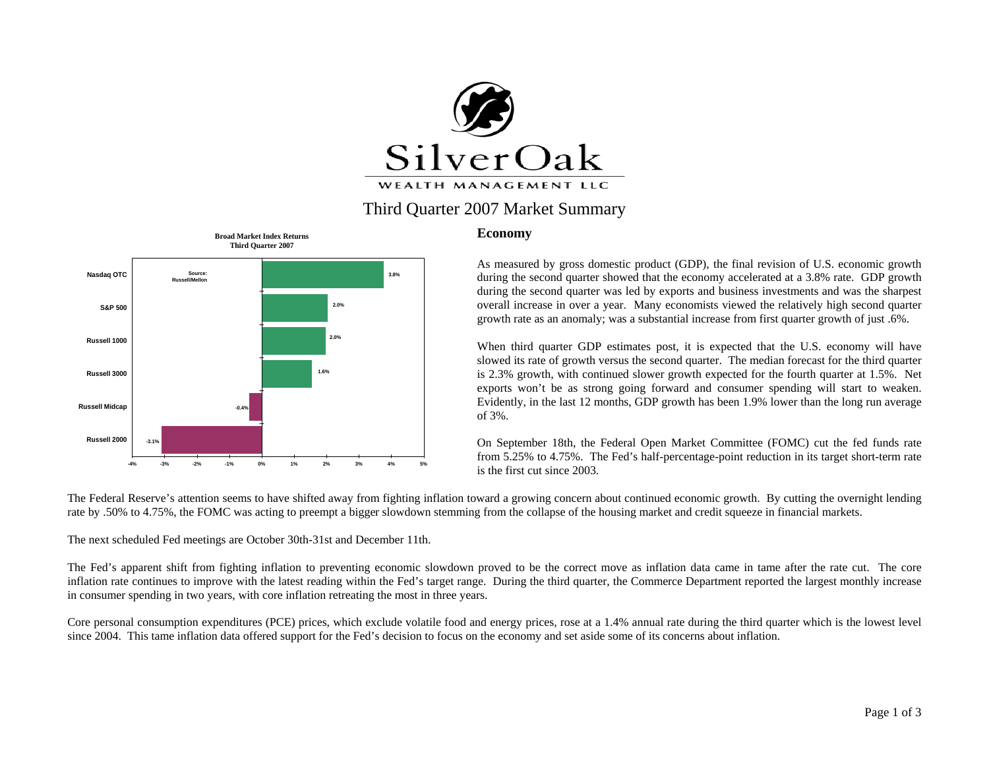

# Third Quarter 2007 Market Summary



#### **Economy**

As measured by gross domestic product (GDP), the final revision of U.S. economic growth during the second quarter showed that the economy accelerated at a 3.8% rate. GDP growth during the second quarter was led by exports and business investments and was the sharpest overall increase in over a year. Many economists viewed the relatively high second quarter growth rate as an anomaly; was a substantial increase from first quarter growth of just .6%.

When third quarter GDP estimates post, it is expected that the U.S. economy will have slowed its rate of growth versus the second quarter. The median forecast for the third quarter is 2.3% growth, with continued slower growth expected for the fourth quarter at 1.5%. Net exports won't be as strong going forward and consumer spending will start to weaken. Evidently, in the last 12 months, GDP growth has been 1.9% lower than the long run average of 3%.

On September 18th, the Federal Open Market Committee (FOMC) cut the fed funds rate from 5.25% to 4.75%. The Fed's half-percentage-point reduction in its target short-term rate is the first cut since 2003.

The Federal Reserve's attention seems to have shifted away from fighting inflation toward a growing concern about continued economic growth. By cutting the overnight lending rate by .50% to 4.75%, the FOMC was acting to preempt a bigger slowdown stemming from the collapse of the housing market and credit squeeze in financial markets.

The next scheduled Fed meetings are October 30th-31st and December 11th.

The Fed's apparent shift from fighting inflation to preventing economic slowdown proved to be the correct move as inflation data came in tame after the rate cut. The core inflation rate continues to improve with the latest reading within the Fed's target range. During the third quarter, the Commerce Department reported the largest monthly increase in consumer spending in two years, with core inflation retreating the most in three years.

Core personal consumption expenditures (PCE) prices, which exclude volatile food and energy prices, rose at a 1.4% annual rate during the third quarter which is the lowest level since 2004. This tame inflation data offered support for the Fed's decision to focus on the economy and set aside some of its concerns about inflation.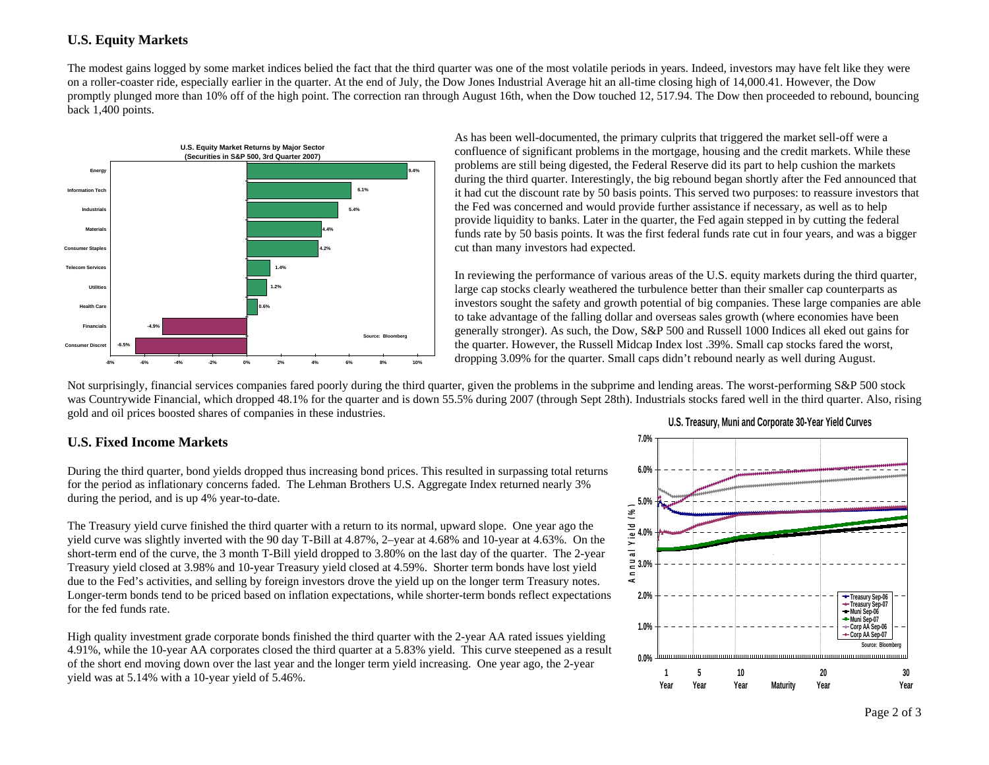#### **U.S. Equity Markets**

The modest gains logged by some market indices belied the fact that the third quarter was one of the most volatile periods in years. Indeed, investors may have felt like they were on a roller-coaster ride, especially earlier in the quarter. At the end of July, the Dow Jones Industrial Average hit an all-time closing high of 14,000.41. However, the Dow promptly plunged more than 10% off of the high point. The correction ran through August 16th, when the Dow touched 12, 517.94. The Dow then proceeded to rebound, bouncing back 1,400 points.



As has been well-documented, the primary culprits that triggered the market sell-off were a confluence of significant problems in the mortgage, housing and the credit markets. While these problems are still being digested, the Federal Reserve did its part to help cushion the markets during the third quarter. Interestingly, the big rebound began shortly after the Fed announced that it had cut the discount rate by 50 basis points. This served two purposes: to reassure investors that the Fed was concerned and would provide further assistance if necessary, as well as to help provide liquidity to banks. Later in the quarter, the Fed again stepped in by cutting the federal funds rate by 50 basis points. It was the first federal funds rate cut in four years, and was a bigger cut than many investors had expected.

In reviewing the performance of various areas of the U.S. equity markets during the third quarter, large cap stocks clearly weathered the turbulence better than their smaller cap counterparts as investors sought the safety and growth potential of big companies. These large companies are able to take advantage of the falling dollar and overseas sales growth (where economies have been generally stronger). As such, the Dow, S&P 500 and Russell 1000 Indices all eked out gains for the quarter. However, the Russell Midcap Index lost .39%. Small cap stocks fared the worst, dropping 3.09% for the quarter. Small caps didn't rebound nearly as well during August.

Not surprisingly, financial services companies fared poorly during the third quarter, given the problems in the subprime and lending areas. The worst-performing S&P 500 stock was Countrywide Financial, which dropped 48.1% for the quarter and is down 55.5% during 2007 (through Sept 28th). Industrials stocks fared well in the third quarter. Also, rising gold and oil prices boosted shares of companies in these industries. **U.S. Treasury, Muni and Corporate 30-Year Yield Curves** 

## **U.S. Fixed Income Markets**

During the third quarter, bond yields dropped thus increasing bond prices. This resulted in surpassing total returns for the period as inflationary concerns faded. The Lehman Brothers U.S. Aggregate Index returned nearly 3% during the period, and is up 4% year-to-date.

The Treasury yield curve finished the third quarter with a return to its normal, upward slope. One year ago the yield curve was slightly inverted with the 90 day T-Bill at 4.87%, 2–year at 4.68% and 10-year at 4.63%. On the short-term end of the curve, the 3 month T-Bill yield dropped to 3.80% on the last day of the quarter. The 2-year Treasury yield closed at 3.98% and 10-year Treasury yield closed at 4.59%. Shorter term bonds have lost yield due to the Fed's activities, and selling by foreign investors drove the yield up on the longer term Treasury notes. Longer-term bonds tend to be priced based on inflation expectations, while shorter-term bonds reflect expectations for the fed funds rate.

High quality investment grade corporate bonds finished the third quarter with the 2-year AA rated issues yielding 4.91%, while the 10-year AA corporates closed the third quarter at a 5.83% yield. This curve steepened as a result of the short end moving down over the last year and the longer term yield increasing. One year ago, the 2-year yield was at 5.14% with a 10-year yield of 5.46%.